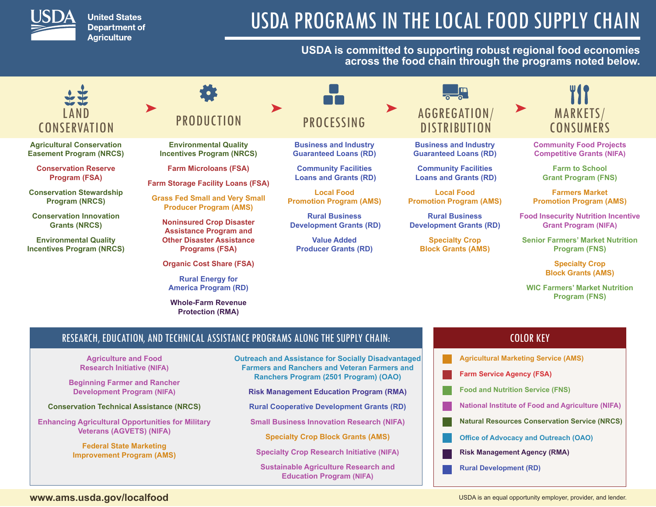

**United States Department of Agriculture** 

# USDA PROGRAMS IN THE LOCAL FOOD SUPPLY CHAIN

## **USDA is committed to supporting robust regional food economies across the food chain through the programs noted below.**



**Agricultural Conservation Easement Program (NRCS)**

**Conservation Reserve Program (FSA)**

**Conservation Stewardship Program (NRCS)**

**Conservation Innovation Grants (NRCS)** 

**Environmental Quality Incentives Program (NRCS)**

# **PRODUCTION**

**Environmental Quality Incentives Program (NRCS)**

**Farm Microloans (FSA)**

**Farm Storage Facility Loans (FSA)**

**Grass Fed Small and Very Small Producer Program (AMS)**

**Noninsured Crop Disaster Assistance Program and Other Disaster Assistance Programs (FSA)**

**Organic Cost Share (FSA)**

**Rural Energy for America Program (RD)**

**Whole-Farm Revenue Protection (RMA)**

# **PROCESSING**

 $\blacksquare$ 

**Business and Industry Guaranteed Loans (RD)**

**Community Facilities Loans and Grants (RD)**

**Local Food Promotion Program (AMS)**

**Rural Business Development Grants (RD)**

**Value Added Producer Grants (RD)**

# AGGREGATION/ **DISTRIBUTION**

**Business and Industry Guaranteed Loans (RD)**

**Community Facilities Loans and Grants (RD)**

**Local Food Promotion Program (AMS)**

**Rural Business Development Grants (RD)**

> **Specialty Crop Block Grants (AMS)**

MARKETS/ **CONSUMERS** 

**Community Food Projects Competitive Grants (NIFA)**

> **Farm to School Grant Program (FNS)**

**Farmers Market Promotion Program (AMS)**

**Food Insecurity Nutrition Incentive Grant Program (NIFA)**

**Senior Farmers' Market Nutrition Program (FNS)**

> **Specialty Crop Block Grants (AMS)**

**WIC Farmers' Market Nutrition Program (FNS)**

**Agricultural Marketing Service (AMS) Farm Service Agency (FSA) Food and Nutrition Service (FNS) National Institute of Food and Agriculture (NIFA) Natural Resources Conservation Service (NRCS) Office of Advocacy and Outreach (OAO) Risk Management Agency (RMA) Rural Development (RD)**

COLOR KEY

# RESEARCH, EDUCATION, AND TECHNICAL ASSISTANCE PROGRAMS ALONG THE SUPPLY CHAIN:

**Agriculture and Food Research Initiative (NIFA)**

**Beginning Farmer and Rancher Development Program (NIFA)**

**Conservation Technical Assistance (NRCS)**

**Enhancing Agricultural Opportunities for Military Veterans (AGVETS) (NIFA)**

> **Federal State Marketing Improvement Program (AMS)**

**Outreach and Assistance for Socially Disadvantaged Farmers and Ranchers and Veteran Farmers and Ranchers Program (2501 Program) (OAO)**

**Risk Management Education Program (RMA)**

**Rural Cooperative Development Grants (RD)**

**Small Business Innovation Research (NIFA)**

**Specialty Crop Block Grants (AMS)**

**Specialty Crop Research Initiative (NIFA)**

**Sustainable Agriculture Research and Education Program (NIFA)**

### **www.ams.usda.gov/localfood**